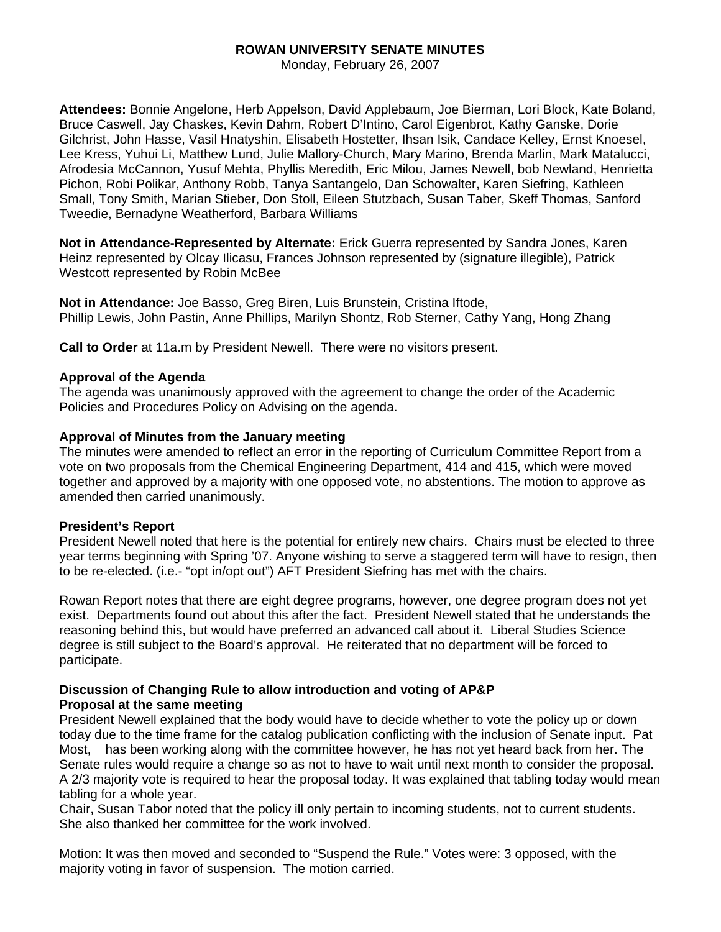# **ROWAN UNIVERSITY SENATE MINUTES**

Monday, February 26, 2007

**Attendees:** Bonnie Angelone, Herb Appelson, David Applebaum, Joe Bierman, Lori Block, Kate Boland, Bruce Caswell, Jay Chaskes, Kevin Dahm, Robert D'Intino, Carol Eigenbrot, Kathy Ganske, Dorie Gilchrist, John Hasse, Vasil Hnatyshin, Elisabeth Hostetter, Ihsan Isik, Candace Kelley, Ernst Knoesel, Lee Kress, Yuhui Li, Matthew Lund, Julie Mallory-Church, Mary Marino, Brenda Marlin, Mark Matalucci, Afrodesia McCannon, Yusuf Mehta, Phyllis Meredith, Eric Milou, James Newell, bob Newland, Henrietta Pichon, Robi Polikar, Anthony Robb, Tanya Santangelo, Dan Schowalter, Karen Siefring, Kathleen Small, Tony Smith, Marian Stieber, Don Stoll, Eileen Stutzbach, Susan Taber, Skeff Thomas, Sanford Tweedie, Bernadyne Weatherford, Barbara Williams

**Not in Attendance-Represented by Alternate:** Erick Guerra represented by Sandra Jones, Karen Heinz represented by Olcay Ilicasu, Frances Johnson represented by (signature illegible), Patrick Westcott represented by Robin McBee

**Not in Attendance:** Joe Basso, Greg Biren, Luis Brunstein, Cristina Iftode, Phillip Lewis, John Pastin, Anne Phillips, Marilyn Shontz, Rob Sterner, Cathy Yang, Hong Zhang

**Call to Order** at 11a.m by President Newell. There were no visitors present.

#### **Approval of the Agenda**

The agenda was unanimously approved with the agreement to change the order of the Academic Policies and Procedures Policy on Advising on the agenda.

#### **Approval of Minutes from the January meeting**

The minutes were amended to reflect an error in the reporting of Curriculum Committee Report from a vote on two proposals from the Chemical Engineering Department, 414 and 415, which were moved together and approved by a majority with one opposed vote, no abstentions. The motion to approve as amended then carried unanimously.

#### **President's Report**

President Newell noted that here is the potential for entirely new chairs. Chairs must be elected to three year terms beginning with Spring '07. Anyone wishing to serve a staggered term will have to resign, then to be re-elected. (i.e.- "opt in/opt out") AFT President Siefring has met with the chairs.

Rowan Report notes that there are eight degree programs, however, one degree program does not yet exist. Departments found out about this after the fact. President Newell stated that he understands the reasoning behind this, but would have preferred an advanced call about it. Liberal Studies Science degree is still subject to the Board's approval. He reiterated that no department will be forced to participate.

### **Discussion of Changing Rule to allow introduction and voting of AP&P Proposal at the same meeting**

President Newell explained that the body would have to decide whether to vote the policy up or down today due to the time frame for the catalog publication conflicting with the inclusion of Senate input. Pat Most, has been working along with the committee however, he has not yet heard back from her. The Senate rules would require a change so as not to have to wait until next month to consider the proposal. A 2/3 majority vote is required to hear the proposal today. It was explained that tabling today would mean tabling for a whole year.

Chair, Susan Tabor noted that the policy ill only pertain to incoming students, not to current students. She also thanked her committee for the work involved.

Motion: It was then moved and seconded to "Suspend the Rule." Votes were: 3 opposed, with the majority voting in favor of suspension. The motion carried.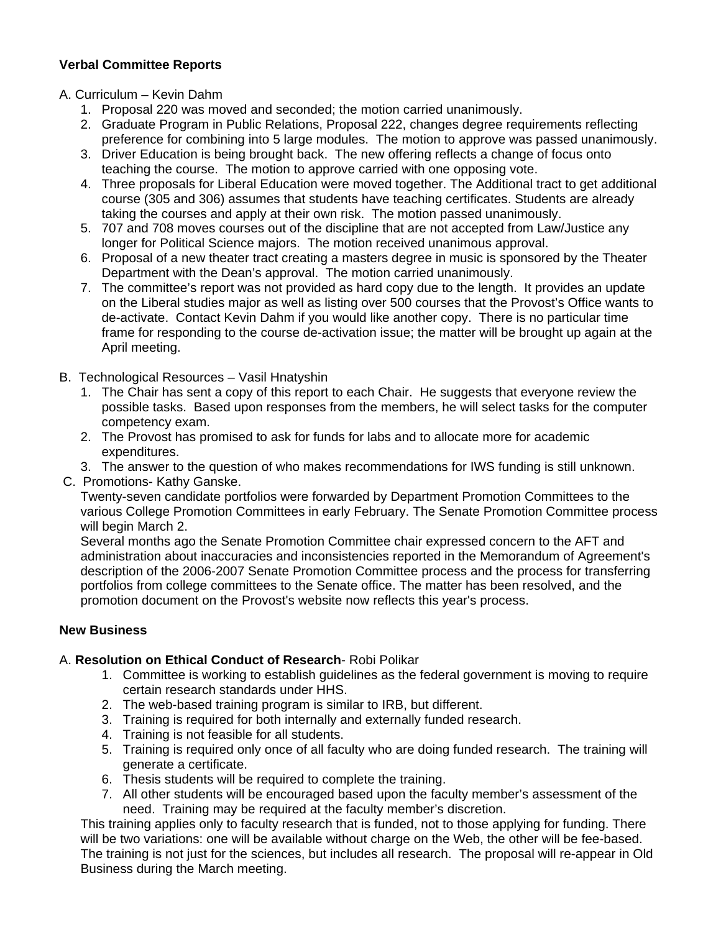# **Verbal Committee Reports**

# A. Curriculum – Kevin Dahm

- 1. Proposal 220 was moved and seconded; the motion carried unanimously.
- 2. Graduate Program in Public Relations, Proposal 222, changes degree requirements reflecting preference for combining into 5 large modules. The motion to approve was passed unanimously.
- 3. Driver Education is being brought back. The new offering reflects a change of focus onto teaching the course. The motion to approve carried with one opposing vote.
- 4. Three proposals for Liberal Education were moved together. The Additional tract to get additional course (305 and 306) assumes that students have teaching certificates. Students are already taking the courses and apply at their own risk. The motion passed unanimously.
- 5. 707 and 708 moves courses out of the discipline that are not accepted from Law/Justice any longer for Political Science majors. The motion received unanimous approval.
- 6. Proposal of a new theater tract creating a masters degree in music is sponsored by the Theater Department with the Dean's approval. The motion carried unanimously.
- 7. The committee's report was not provided as hard copy due to the length. It provides an update on the Liberal studies major as well as listing over 500 courses that the Provost's Office wants to de-activate. Contact Kevin Dahm if you would like another copy. There is no particular time frame for responding to the course de-activation issue; the matter will be brought up again at the April meeting.
- B. Technological Resources Vasil Hnatyshin
	- 1. The Chair has sent a copy of this report to each Chair. He suggests that everyone review the possible tasks. Based upon responses from the members, he will select tasks for the computer competency exam.
	- 2. The Provost has promised to ask for funds for labs and to allocate more for academic expenditures.
	- 3. The answer to the question of who makes recommendations for IWS funding is still unknown.
- C. Promotions- Kathy Ganske.

Twenty-seven candidate portfolios were forwarded by Department Promotion Committees to the various College Promotion Committees in early February. The Senate Promotion Committee process will begin March 2.

Several months ago the Senate Promotion Committee chair expressed concern to the AFT and administration about inaccuracies and inconsistencies reported in the Memorandum of Agreement's description of the 2006-2007 Senate Promotion Committee process and the process for transferring portfolios from college committees to the Senate office. The matter has been resolved, and the promotion document on the Provost's website now reflects this year's process.

### **New Business**

# A. **Resolution on Ethical Conduct of Research**- Robi Polikar

- 1. Committee is working to establish guidelines as the federal government is moving to require certain research standards under HHS.
- 2. The web-based training program is similar to IRB, but different.
- 3. Training is required for both internally and externally funded research.
- 4. Training is not feasible for all students.
- 5. Training is required only once of all faculty who are doing funded research. The training will generate a certificate.
- 6. Thesis students will be required to complete the training.
- 7. All other students will be encouraged based upon the faculty member's assessment of the need. Training may be required at the faculty member's discretion.

This training applies only to faculty research that is funded, not to those applying for funding. There will be two variations: one will be available without charge on the Web, the other will be fee-based. The training is not just for the sciences, but includes all research. The proposal will re-appear in Old Business during the March meeting.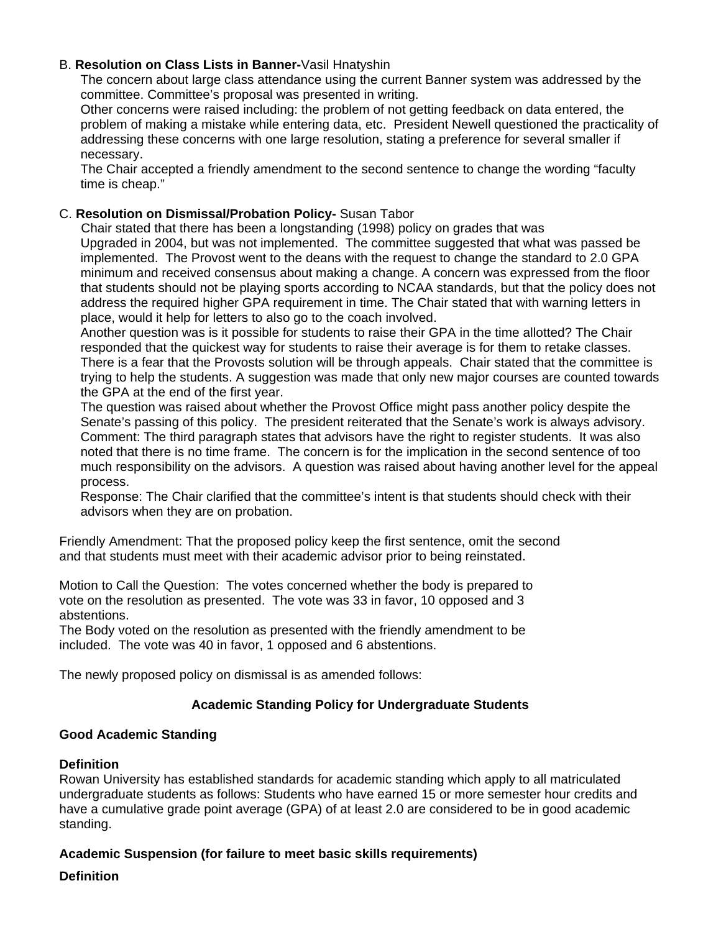# B. **Resolution on Class Lists in Banner-**Vasil Hnatyshin

The concern about large class attendance using the current Banner system was addressed by the committee. Committee's proposal was presented in writing.

Other concerns were raised including: the problem of not getting feedback on data entered, the problem of making a mistake while entering data, etc. President Newell questioned the practicality of addressing these concerns with one large resolution, stating a preference for several smaller if necessary.

The Chair accepted a friendly amendment to the second sentence to change the wording "faculty time is cheap."

# C. **Resolution on Dismissal/Probation Policy-** Susan Tabor

 Chair stated that there has been a longstanding (1998) policy on grades that was Upgraded in 2004, but was not implemented. The committee suggested that what was passed be implemented. The Provost went to the deans with the request to change the standard to 2.0 GPA minimum and received consensus about making a change. A concern was expressed from the floor that students should not be playing sports according to NCAA standards, but that the policy does not address the required higher GPA requirement in time. The Chair stated that with warning letters in place, would it help for letters to also go to the coach involved.

Another question was is it possible for students to raise their GPA in the time allotted? The Chair responded that the quickest way for students to raise their average is for them to retake classes. There is a fear that the Provosts solution will be through appeals. Chair stated that the committee is trying to help the students. A suggestion was made that only new major courses are counted towards the GPA at the end of the first year.

The question was raised about whether the Provost Office might pass another policy despite the Senate's passing of this policy. The president reiterated that the Senate's work is always advisory. Comment: The third paragraph states that advisors have the right to register students. It was also noted that there is no time frame. The concern is for the implication in the second sentence of too much responsibility on the advisors. A question was raised about having another level for the appeal process.

Response: The Chair clarified that the committee's intent is that students should check with their advisors when they are on probation.

Friendly Amendment: That the proposed policy keep the first sentence, omit the second and that students must meet with their academic advisor prior to being reinstated.

Motion to Call the Question: The votes concerned whether the body is prepared to vote on the resolution as presented. The vote was 33 in favor, 10 opposed and 3 abstentions.

The Body voted on the resolution as presented with the friendly amendment to be included. The vote was 40 in favor, 1 opposed and 6 abstentions.

The newly proposed policy on dismissal is as amended follows:

# **Academic Standing Policy for Undergraduate Students**

### **Good Academic Standing**

### **Definition**

Rowan University has established standards for academic standing which apply to all matriculated undergraduate students as follows: Students who have earned 15 or more semester hour credits and have a cumulative grade point average (GPA) of at least 2.0 are considered to be in good academic standing.

### **Academic Suspension (for failure to meet basic skills requirements)**

### **Definition**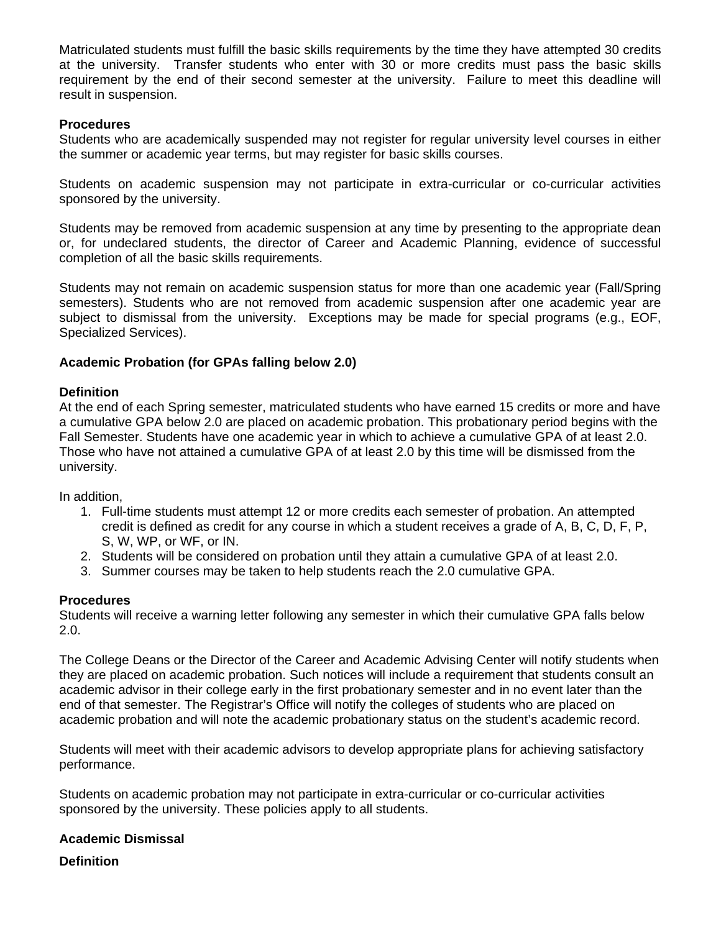Matriculated students must fulfill the basic skills requirements by the time they have attempted 30 credits at the university. Transfer students who enter with 30 or more credits must pass the basic skills requirement by the end of their second semester at the university. Failure to meet this deadline will result in suspension.

#### **Procedures**

Students who are academically suspended may not register for regular university level courses in either the summer or academic year terms, but may register for basic skills courses.

Students on academic suspension may not participate in extra-curricular or co-curricular activities sponsored by the university.

Students may be removed from academic suspension at any time by presenting to the appropriate dean or, for undeclared students, the director of Career and Academic Planning, evidence of successful completion of all the basic skills requirements.

Students may not remain on academic suspension status for more than one academic year (Fall/Spring semesters). Students who are not removed from academic suspension after one academic year are subject to dismissal from the university. Exceptions may be made for special programs (e.g., EOF, Specialized Services).

#### **Academic Probation (for GPAs falling below 2.0)**

#### **Definition**

At the end of each Spring semester, matriculated students who have earned 15 credits or more and have a cumulative GPA below 2.0 are placed on academic probation. This probationary period begins with the Fall Semester. Students have one academic year in which to achieve a cumulative GPA of at least 2.0. Those who have not attained a cumulative GPA of at least 2.0 by this time will be dismissed from the university.

In addition,

- 1. Full-time students must attempt 12 or more credits each semester of probation. An attempted credit is defined as credit for any course in which a student receives a grade of A, B, C, D, F, P, S, W, WP, or WF, or IN.
- 2. Students will be considered on probation until they attain a cumulative GPA of at least 2.0.
- 3. Summer courses may be taken to help students reach the 2.0 cumulative GPA.

#### **Procedures**

Students will receive a warning letter following any semester in which their cumulative GPA falls below 2.0.

The College Deans or the Director of the Career and Academic Advising Center will notify students when they are placed on academic probation. Such notices will include a requirement that students consult an academic advisor in their college early in the first probationary semester and in no event later than the end of that semester. The Registrar's Office will notify the colleges of students who are placed on academic probation and will note the academic probationary status on the student's academic record.

Students will meet with their academic advisors to develop appropriate plans for achieving satisfactory performance.

Students on academic probation may not participate in extra-curricular or co-curricular activities sponsored by the university. These policies apply to all students.

#### **Academic Dismissal**

**Definition**